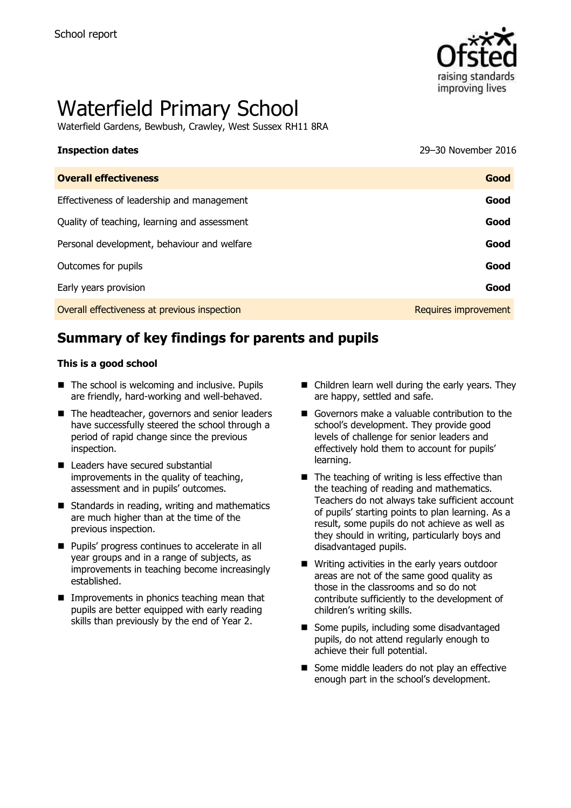

# Waterfield Primary School

Waterfield Gardens, Bewbush, Crawley, West Sussex RH11 8RA

# **Inspection dates** 29–30 November 2016

| Good                 |
|----------------------|
| Good                 |
| Good                 |
| Good                 |
| Good                 |
| Good                 |
| Requires improvement |
|                      |

# **Summary of key findings for parents and pupils**

#### **This is a good school**

- The school is welcoming and inclusive. Pupils are friendly, hard-working and well-behaved.
- The headteacher, governors and senior leaders have successfully steered the school through a period of rapid change since the previous inspection.
- Leaders have secured substantial improvements in the quality of teaching, assessment and in pupils' outcomes.
- Standards in reading, writing and mathematics are much higher than at the time of the previous inspection.
- **Pupils' progress continues to accelerate in all** year groups and in a range of subjects, as improvements in teaching become increasingly established.
- $\blacksquare$  Improvements in phonics teaching mean that pupils are better equipped with early reading skills than previously by the end of Year 2.
- Children learn well during the early years. They are happy, settled and safe.
- Governors make a valuable contribution to the school's development. They provide good levels of challenge for senior leaders and effectively hold them to account for pupils' learning.
- $\blacksquare$  The teaching of writing is less effective than the teaching of reading and mathematics. Teachers do not always take sufficient account of pupils' starting points to plan learning. As a result, some pupils do not achieve as well as they should in writing, particularly boys and disadvantaged pupils.
- Writing activities in the early years outdoor areas are not of the same good quality as those in the classrooms and so do not contribute sufficiently to the development of children's writing skills.
- Some pupils, including some disadvantaged pupils, do not attend regularly enough to achieve their full potential.
- Some middle leaders do not play an effective enough part in the school's development.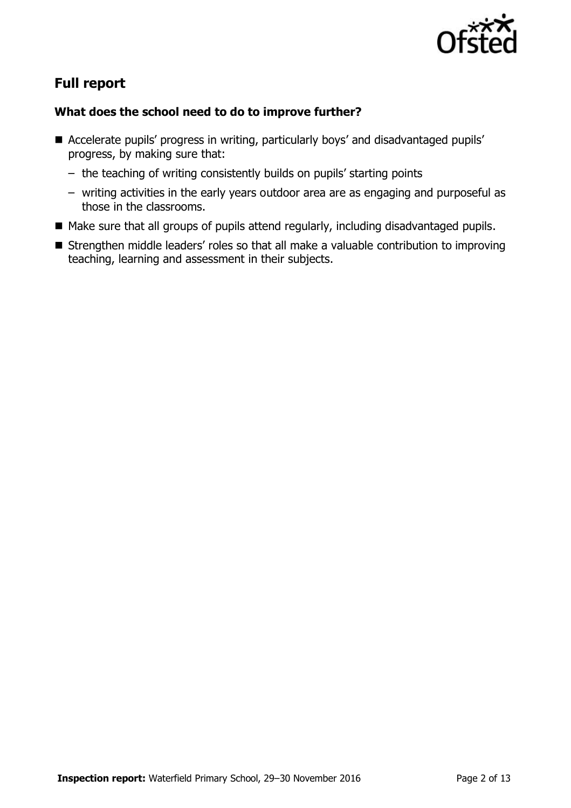

# **Full report**

### **What does the school need to do to improve further?**

- Accelerate pupils' progress in writing, particularly boys' and disadvantaged pupils' progress, by making sure that:
	- the teaching of writing consistently builds on pupils' starting points
	- writing activities in the early years outdoor area are as engaging and purposeful as those in the classrooms.
- Make sure that all groups of pupils attend regularly, including disadvantaged pupils.
- Strengthen middle leaders' roles so that all make a valuable contribution to improving teaching, learning and assessment in their subjects.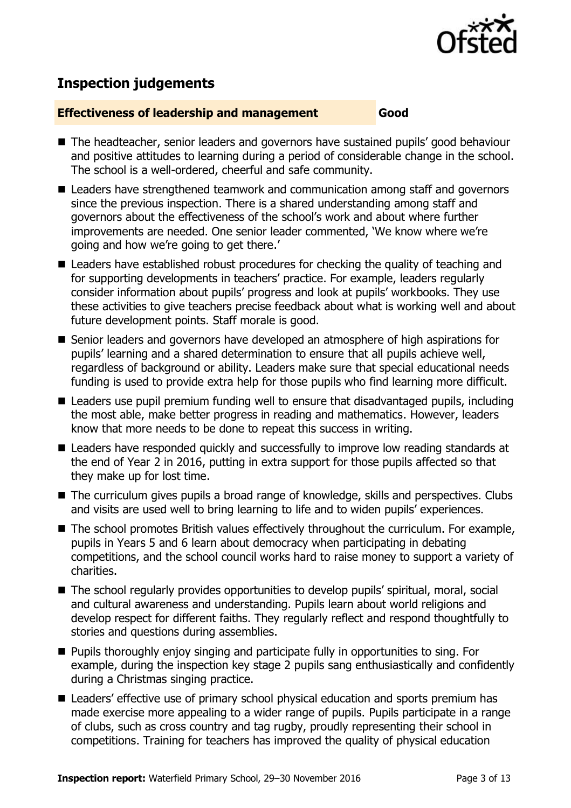

# **Inspection judgements**

#### **Effectiveness of leadership and management Good**

- The headteacher, senior leaders and governors have sustained pupils' good behaviour and positive attitudes to learning during a period of considerable change in the school. The school is a well-ordered, cheerful and safe community.
- Leaders have strengthened teamwork and communication among staff and governors since the previous inspection. There is a shared understanding among staff and governors about the effectiveness of the school's work and about where further improvements are needed. One senior leader commented, 'We know where we're going and how we're going to get there.'
- Leaders have established robust procedures for checking the quality of teaching and for supporting developments in teachers' practice. For example, leaders regularly consider information about pupils' progress and look at pupils' workbooks. They use these activities to give teachers precise feedback about what is working well and about future development points. Staff morale is good.
- Senior leaders and governors have developed an atmosphere of high aspirations for pupils' learning and a shared determination to ensure that all pupils achieve well, regardless of background or ability. Leaders make sure that special educational needs funding is used to provide extra help for those pupils who find learning more difficult.
- Leaders use pupil premium funding well to ensure that disadvantaged pupils, including the most able, make better progress in reading and mathematics. However, leaders know that more needs to be done to repeat this success in writing.
- Leaders have responded quickly and successfully to improve low reading standards at the end of Year 2 in 2016, putting in extra support for those pupils affected so that they make up for lost time.
- The curriculum gives pupils a broad range of knowledge, skills and perspectives. Clubs and visits are used well to bring learning to life and to widen pupils' experiences.
- The school promotes British values effectively throughout the curriculum. For example, pupils in Years 5 and 6 learn about democracy when participating in debating competitions, and the school council works hard to raise money to support a variety of charities.
- The school regularly provides opportunities to develop pupils' spiritual, moral, social and cultural awareness and understanding. Pupils learn about world religions and develop respect for different faiths. They regularly reflect and respond thoughtfully to stories and questions during assemblies.
- **Pupils thoroughly enjoy singing and participate fully in opportunities to sing. For** example, during the inspection key stage 2 pupils sang enthusiastically and confidently during a Christmas singing practice.
- Leaders' effective use of primary school physical education and sports premium has made exercise more appealing to a wider range of pupils. Pupils participate in a range of clubs, such as cross country and tag rugby, proudly representing their school in competitions. Training for teachers has improved the quality of physical education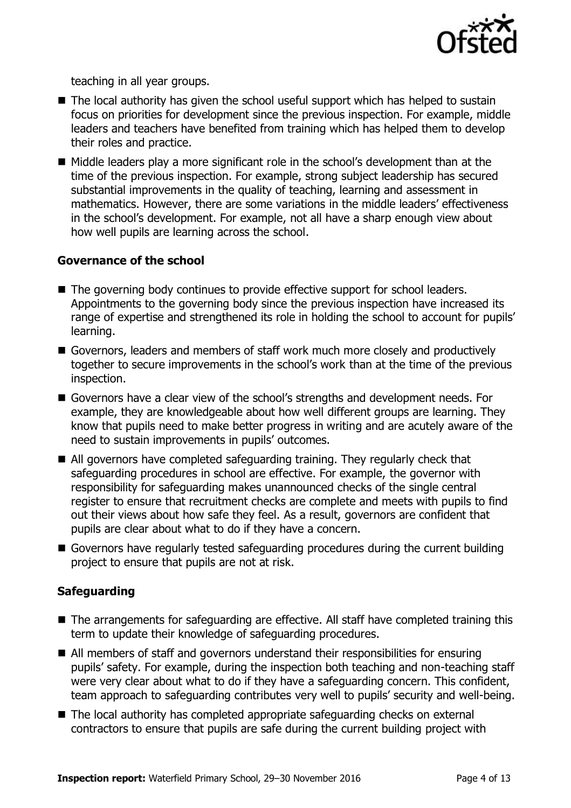

teaching in all year groups.

- The local authority has given the school useful support which has helped to sustain focus on priorities for development since the previous inspection. For example, middle leaders and teachers have benefited from training which has helped them to develop their roles and practice.
- $\blacksquare$  Middle leaders play a more significant role in the school's development than at the time of the previous inspection. For example, strong subject leadership has secured substantial improvements in the quality of teaching, learning and assessment in mathematics. However, there are some variations in the middle leaders' effectiveness in the school's development. For example, not all have a sharp enough view about how well pupils are learning across the school.

#### **Governance of the school**

- The governing body continues to provide effective support for school leaders. Appointments to the governing body since the previous inspection have increased its range of expertise and strengthened its role in holding the school to account for pupils' learning.
- Governors, leaders and members of staff work much more closely and productively together to secure improvements in the school's work than at the time of the previous inspection.
- Governors have a clear view of the school's strengths and development needs. For example, they are knowledgeable about how well different groups are learning. They know that pupils need to make better progress in writing and are acutely aware of the need to sustain improvements in pupils' outcomes.
- All governors have completed safeguarding training. They regularly check that safeguarding procedures in school are effective. For example, the governor with responsibility for safeguarding makes unannounced checks of the single central register to ensure that recruitment checks are complete and meets with pupils to find out their views about how safe they feel. As a result, governors are confident that pupils are clear about what to do if they have a concern.
- Governors have regularly tested safeguarding procedures during the current building project to ensure that pupils are not at risk.

#### **Safeguarding**

- The arrangements for safeguarding are effective. All staff have completed training this term to update their knowledge of safeguarding procedures.
- All members of staff and governors understand their responsibilities for ensuring pupils' safety. For example, during the inspection both teaching and non-teaching staff were very clear about what to do if they have a safeguarding concern. This confident, team approach to safeguarding contributes very well to pupils' security and well-being.
- The local authority has completed appropriate safeguarding checks on external contractors to ensure that pupils are safe during the current building project with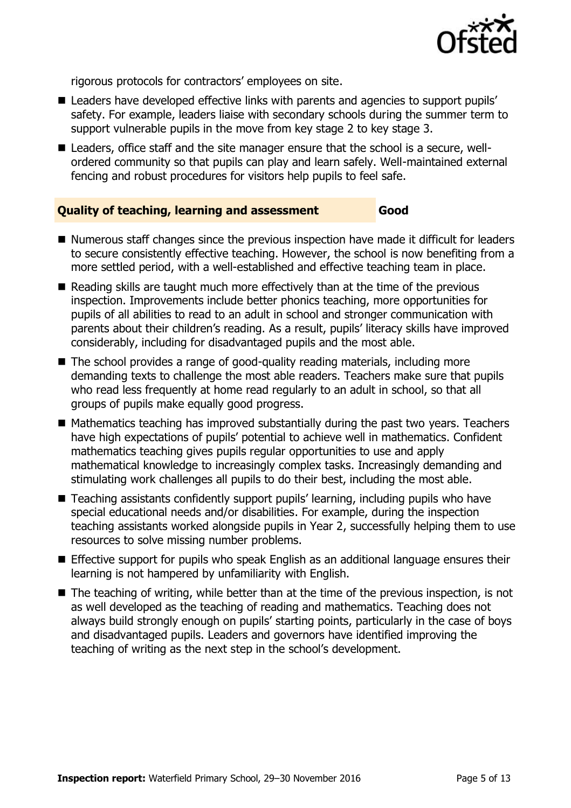

rigorous protocols for contractors' employees on site.

- Leaders have developed effective links with parents and agencies to support pupils' safety. For example, leaders liaise with secondary schools during the summer term to support vulnerable pupils in the move from key stage 2 to key stage 3.
- Leaders, office staff and the site manager ensure that the school is a secure, wellordered community so that pupils can play and learn safely. Well-maintained external fencing and robust procedures for visitors help pupils to feel safe.

#### **Quality of teaching, learning and assessment Good**

- Numerous staff changes since the previous inspection have made it difficult for leaders to secure consistently effective teaching. However, the school is now benefiting from a more settled period, with a well-established and effective teaching team in place.
- Reading skills are taught much more effectively than at the time of the previous inspection. Improvements include better phonics teaching, more opportunities for pupils of all abilities to read to an adult in school and stronger communication with parents about their children's reading. As a result, pupils' literacy skills have improved considerably, including for disadvantaged pupils and the most able.
- The school provides a range of good-quality reading materials, including more demanding texts to challenge the most able readers. Teachers make sure that pupils who read less frequently at home read regularly to an adult in school, so that all groups of pupils make equally good progress.
- $\blacksquare$  Mathematics teaching has improved substantially during the past two years. Teachers have high expectations of pupils' potential to achieve well in mathematics. Confident mathematics teaching gives pupils regular opportunities to use and apply mathematical knowledge to increasingly complex tasks. Increasingly demanding and stimulating work challenges all pupils to do their best, including the most able.
- Teaching assistants confidently support pupils' learning, including pupils who have special educational needs and/or disabilities. For example, during the inspection teaching assistants worked alongside pupils in Year 2, successfully helping them to use resources to solve missing number problems.
- **E** Effective support for pupils who speak English as an additional language ensures their learning is not hampered by unfamiliarity with English.
- $\blacksquare$  The teaching of writing, while better than at the time of the previous inspection, is not as well developed as the teaching of reading and mathematics. Teaching does not always build strongly enough on pupils' starting points, particularly in the case of boys and disadvantaged pupils. Leaders and governors have identified improving the teaching of writing as the next step in the school's development.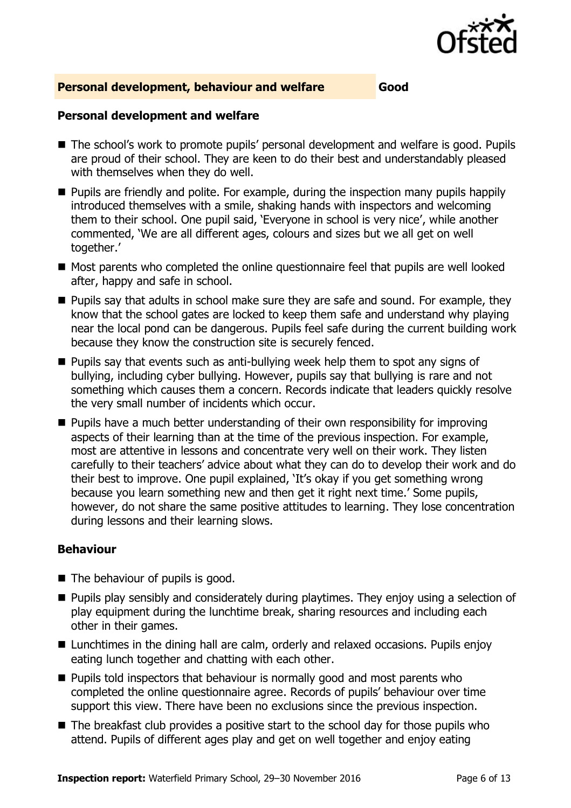

#### **Personal development, behaviour and welfare Good**

#### **Personal development and welfare**

- The school's work to promote pupils' personal development and welfare is good. Pupils are proud of their school. They are keen to do their best and understandably pleased with themselves when they do well.
- **Pupils are friendly and polite. For example, during the inspection many pupils happily** introduced themselves with a smile, shaking hands with inspectors and welcoming them to their school. One pupil said, 'Everyone in school is very nice', while another commented, 'We are all different ages, colours and sizes but we all get on well together.'
- Most parents who completed the online questionnaire feel that pupils are well looked after, happy and safe in school.
- $\blacksquare$  Pupils say that adults in school make sure they are safe and sound. For example, they know that the school gates are locked to keep them safe and understand why playing near the local pond can be dangerous. Pupils feel safe during the current building work because they know the construction site is securely fenced.
- $\blacksquare$  Pupils say that events such as anti-bullying week help them to spot any signs of bullying, including cyber bullying. However, pupils say that bullying is rare and not something which causes them a concern. Records indicate that leaders quickly resolve the very small number of incidents which occur.
- Pupils have a much better understanding of their own responsibility for improving aspects of their learning than at the time of the previous inspection. For example, most are attentive in lessons and concentrate very well on their work. They listen carefully to their teachers' advice about what they can do to develop their work and do their best to improve. One pupil explained, 'It's okay if you get something wrong because you learn something new and then get it right next time.' Some pupils, however, do not share the same positive attitudes to learning. They lose concentration during lessons and their learning slows.

#### **Behaviour**

- $\blacksquare$  The behaviour of pupils is good.
- **Pupils play sensibly and considerately during playtimes. They enjoy using a selection of** play equipment during the lunchtime break, sharing resources and including each other in their games.
- Lunchtimes in the dining hall are calm, orderly and relaxed occasions. Pupils enjoy eating lunch together and chatting with each other.
- **Pupils told inspectors that behaviour is normally good and most parents who** completed the online questionnaire agree. Records of pupils' behaviour over time support this view. There have been no exclusions since the previous inspection.
- The breakfast club provides a positive start to the school day for those pupils who attend. Pupils of different ages play and get on well together and enjoy eating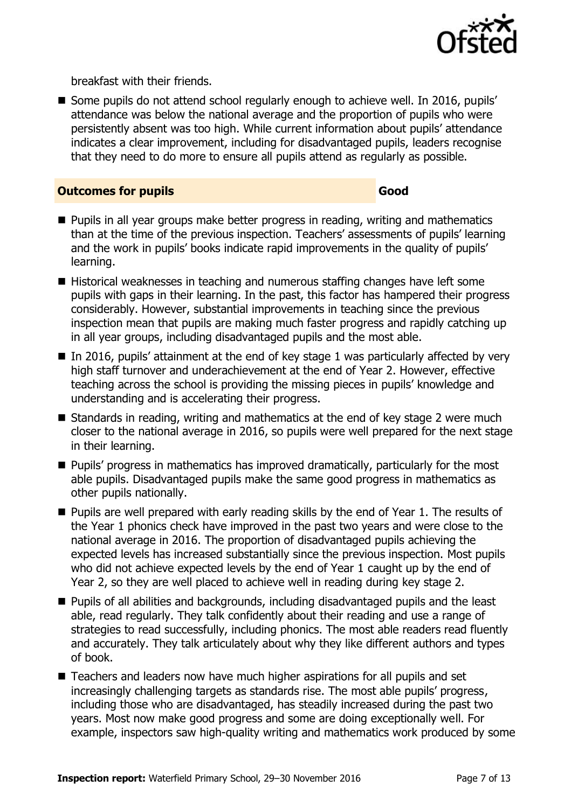

breakfast with their friends.

Some pupils do not attend school regularly enough to achieve well. In 2016, pupils' attendance was below the national average and the proportion of pupils who were persistently absent was too high. While current information about pupils' attendance indicates a clear improvement, including for disadvantaged pupils, leaders recognise that they need to do more to ensure all pupils attend as regularly as possible.

#### **Outcomes for pupils Good**

- $\blacksquare$  Pupils in all year groups make better progress in reading, writing and mathematics than at the time of the previous inspection. Teachers' assessments of pupils' learning and the work in pupils' books indicate rapid improvements in the quality of pupils' learning.
- Historical weaknesses in teaching and numerous staffing changes have left some pupils with gaps in their learning. In the past, this factor has hampered their progress considerably. However, substantial improvements in teaching since the previous inspection mean that pupils are making much faster progress and rapidly catching up in all year groups, including disadvantaged pupils and the most able.
- $\blacksquare$  In 2016, pupils' attainment at the end of key stage 1 was particularly affected by very high staff turnover and underachievement at the end of Year 2. However, effective teaching across the school is providing the missing pieces in pupils' knowledge and understanding and is accelerating their progress.
- Standards in reading, writing and mathematics at the end of key stage 2 were much closer to the national average in 2016, so pupils were well prepared for the next stage in their learning.
- $\blacksquare$  Pupils' progress in mathematics has improved dramatically, particularly for the most able pupils. Disadvantaged pupils make the same good progress in mathematics as other pupils nationally.
- $\blacksquare$  Pupils are well prepared with early reading skills by the end of Year 1. The results of the Year 1 phonics check have improved in the past two years and were close to the national average in 2016. The proportion of disadvantaged pupils achieving the expected levels has increased substantially since the previous inspection. Most pupils who did not achieve expected levels by the end of Year 1 caught up by the end of Year 2, so they are well placed to achieve well in reading during key stage 2.
- **Pupils of all abilities and backgrounds, including disadvantaged pupils and the least** able, read regularly. They talk confidently about their reading and use a range of strategies to read successfully, including phonics. The most able readers read fluently and accurately. They talk articulately about why they like different authors and types of book.
- Teachers and leaders now have much higher aspirations for all pupils and set increasingly challenging targets as standards rise. The most able pupils' progress, including those who are disadvantaged, has steadily increased during the past two years. Most now make good progress and some are doing exceptionally well. For example, inspectors saw high-quality writing and mathematics work produced by some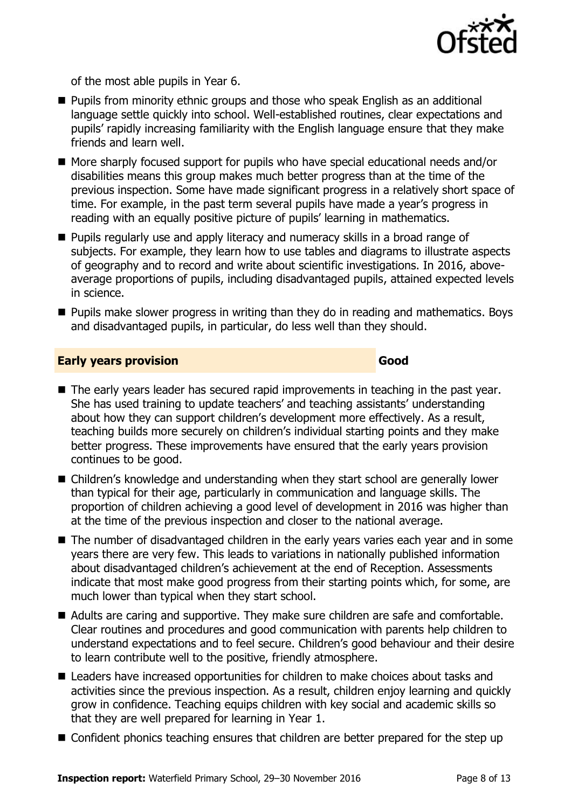

of the most able pupils in Year 6.

- **Pupils from minority ethnic groups and those who speak English as an additional** language settle quickly into school. Well-established routines, clear expectations and pupils' rapidly increasing familiarity with the English language ensure that they make friends and learn well.
- More sharply focused support for pupils who have special educational needs and/or disabilities means this group makes much better progress than at the time of the previous inspection. Some have made significant progress in a relatively short space of time. For example, in the past term several pupils have made a year's progress in reading with an equally positive picture of pupils' learning in mathematics.
- **Pupils regularly use and apply literacy and numeracy skills in a broad range of** subjects. For example, they learn how to use tables and diagrams to illustrate aspects of geography and to record and write about scientific investigations. In 2016, aboveaverage proportions of pupils, including disadvantaged pupils, attained expected levels in science.
- Pupils make slower progress in writing than they do in reading and mathematics. Boys and disadvantaged pupils, in particular, do less well than they should.

#### **Early years provision Good**

- The early years leader has secured rapid improvements in teaching in the past year. She has used training to update teachers' and teaching assistants' understanding about how they can support children's development more effectively. As a result, teaching builds more securely on children's individual starting points and they make better progress. These improvements have ensured that the early years provision continues to be good.
- Children's knowledge and understanding when they start school are generally lower than typical for their age, particularly in communication and language skills. The proportion of children achieving a good level of development in 2016 was higher than at the time of the previous inspection and closer to the national average.
- The number of disadvantaged children in the early years varies each year and in some years there are very few. This leads to variations in nationally published information about disadvantaged children's achievement at the end of Reception. Assessments indicate that most make good progress from their starting points which, for some, are much lower than typical when they start school.
- Adults are caring and supportive. They make sure children are safe and comfortable. Clear routines and procedures and good communication with parents help children to understand expectations and to feel secure. Children's good behaviour and their desire to learn contribute well to the positive, friendly atmosphere.
- Leaders have increased opportunities for children to make choices about tasks and activities since the previous inspection. As a result, children enjoy learning and quickly grow in confidence. Teaching equips children with key social and academic skills so that they are well prepared for learning in Year 1.
- Confident phonics teaching ensures that children are better prepared for the step up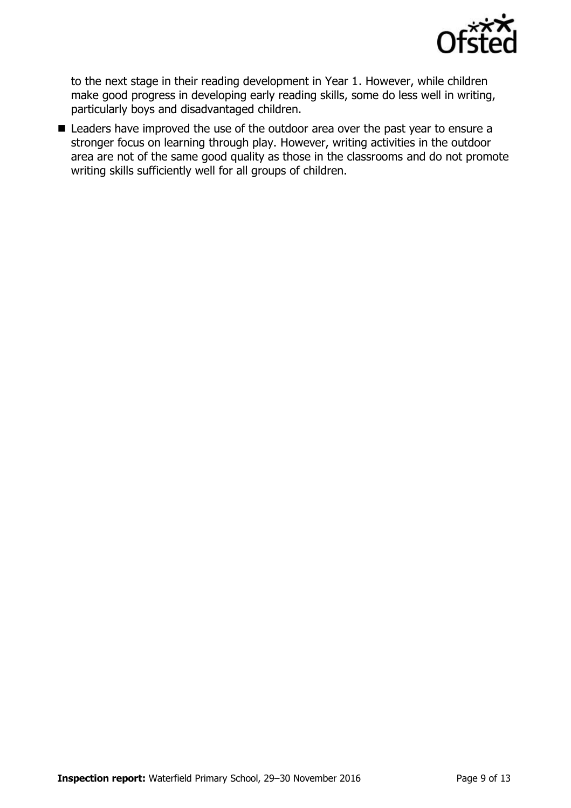

to the next stage in their reading development in Year 1. However, while children make good progress in developing early reading skills, some do less well in writing, particularly boys and disadvantaged children.

■ Leaders have improved the use of the outdoor area over the past year to ensure a stronger focus on learning through play. However, writing activities in the outdoor area are not of the same good quality as those in the classrooms and do not promote writing skills sufficiently well for all groups of children.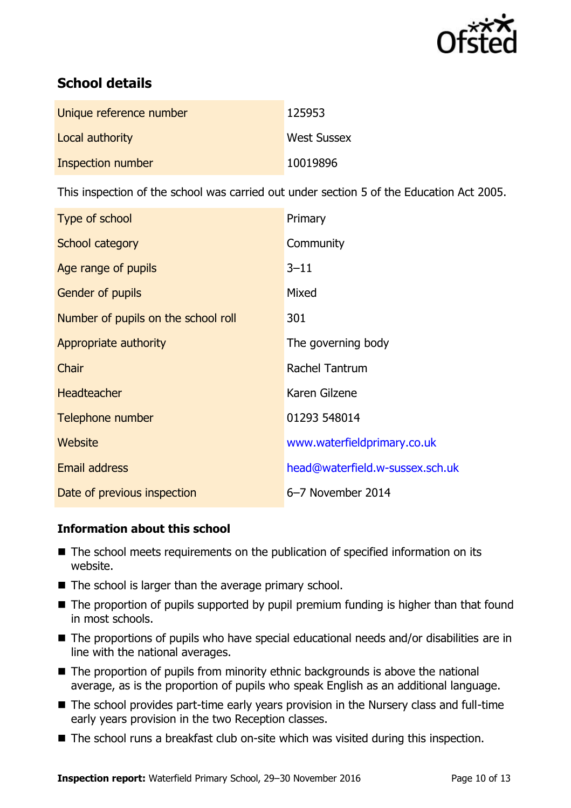

# **School details**

| Unique reference number  | 125953             |
|--------------------------|--------------------|
| Local authority          | <b>West Sussex</b> |
| <b>Inspection number</b> | 10019896           |

This inspection of the school was carried out under section 5 of the Education Act 2005.

| Type of school                      | Primary                         |
|-------------------------------------|---------------------------------|
| School category                     | Community                       |
| Age range of pupils                 | $3 - 11$                        |
| Gender of pupils                    | Mixed                           |
| Number of pupils on the school roll | 301                             |
| Appropriate authority               | The governing body              |
| Chair                               | Rachel Tantrum                  |
| <b>Headteacher</b>                  | Karen Gilzene                   |
| Telephone number                    | 01293 548014                    |
| Website                             | www.waterfieldprimary.co.uk     |
| <b>Email address</b>                | head@waterfield.w-sussex.sch.uk |
| Date of previous inspection         | 6-7 November 2014               |

#### **Information about this school**

- The school meets requirements on the publication of specified information on its website.
- $\blacksquare$  The school is larger than the average primary school.
- The proportion of pupils supported by pupil premium funding is higher than that found in most schools.
- The proportions of pupils who have special educational needs and/or disabilities are in line with the national averages.
- The proportion of pupils from minority ethnic backgrounds is above the national average, as is the proportion of pupils who speak English as an additional language.
- The school provides part-time early years provision in the Nursery class and full-time early years provision in the two Reception classes.
- The school runs a breakfast club on-site which was visited during this inspection.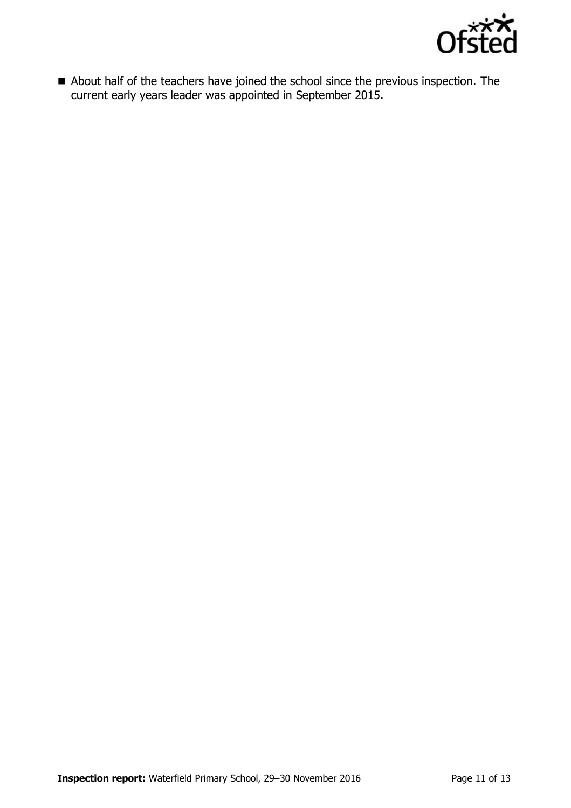

About half of the teachers have joined the school since the previous inspection. The current early years leader was appointed in September 2015.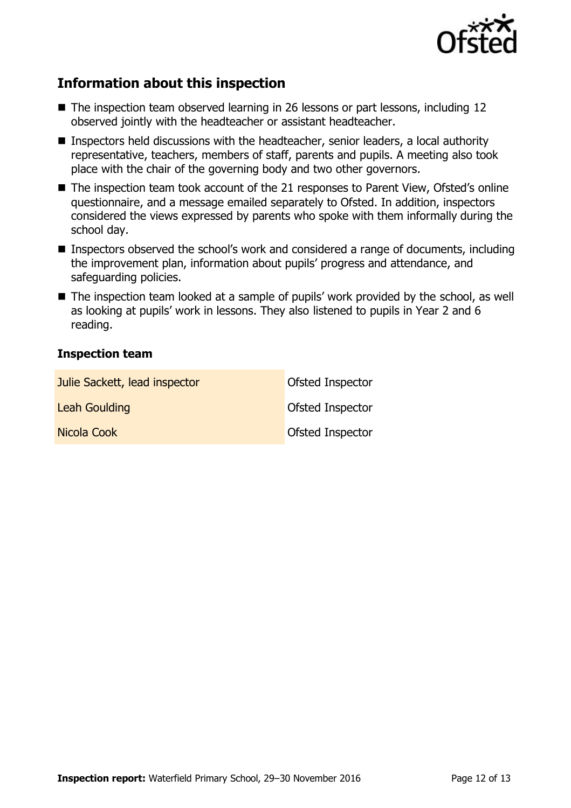

## **Information about this inspection**

- The inspection team observed learning in 26 lessons or part lessons, including 12 observed jointly with the headteacher or assistant headteacher.
- Inspectors held discussions with the headteacher, senior leaders, a local authority representative, teachers, members of staff, parents and pupils. A meeting also took place with the chair of the governing body and two other governors.
- The inspection team took account of the 21 responses to Parent View, Ofsted's online questionnaire, and a message emailed separately to Ofsted. In addition, inspectors considered the views expressed by parents who spoke with them informally during the school day.
- Inspectors observed the school's work and considered a range of documents, including the improvement plan, information about pupils' progress and attendance, and safeguarding policies.
- The inspection team looked at a sample of pupils' work provided by the school, as well as looking at pupils' work in lessons. They also listened to pupils in Year 2 and 6 reading.

#### **Inspection team**

| Julie Sackett, lead inspector | Ofsted Inspector |
|-------------------------------|------------------|
| Leah Goulding                 | Ofsted Inspector |
| Nicola Cook                   | Ofsted Inspector |